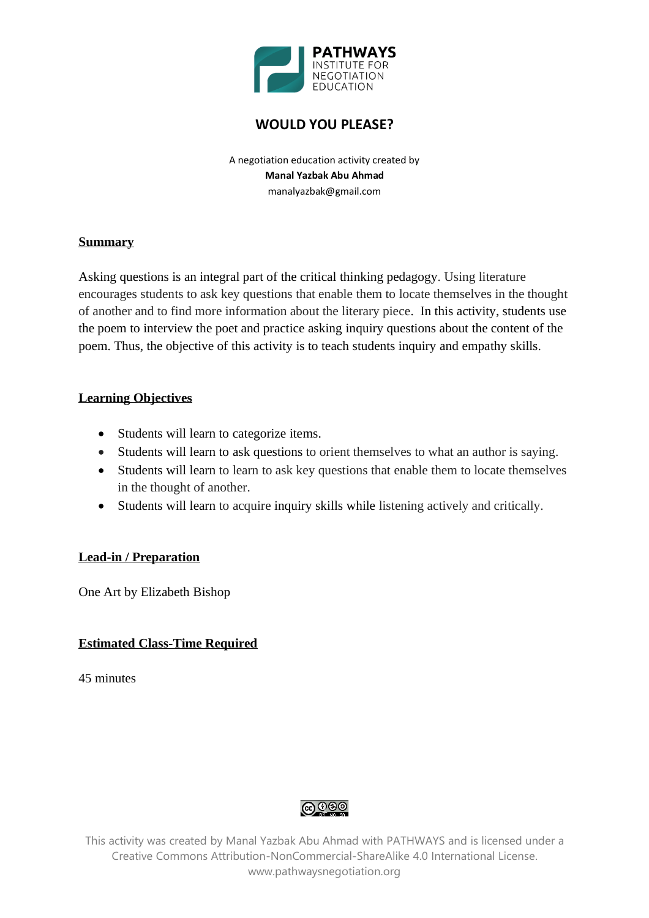

# **WOULD YOU PLEASE?**

A negotiation education activity created by **Manal Yazbak Abu Ahmad** manalyazbak@gmail.com

#### **Summary**

Asking questions is an integral part of the critical thinking pedagogy. Using literature encourages students to ask key questions that enable them to locate themselves in the thought of another and to find more information about the literary piece. In this activity, students use the poem to interview the poet and practice asking inquiry questions about the content of the poem. Thus, the objective of this activity is to teach students inquiry and empathy skills.

## **Learning Objectives**

- Students will learn to categorize items.
- Students will learn to ask questions to orient themselves to what an author is saying.
- Students will learn to learn to ask key questions that enable them to locate themselves in the thought of another.
- Students will learn to acquire inquiry skills while listening actively and critically.

### **Lead-in / Preparation**

One Art by Elizabeth Bishop

### **Estimated Class-Time Required**

45 minutes

**@** ගම

This activity was created by Manal Yazbak Abu Ahmad with PATHWAYS and is licensed under a Creative Commons Attribution-NonCommercial-ShareAlike 4.0 International License. www.pathwaysnegotiation.org